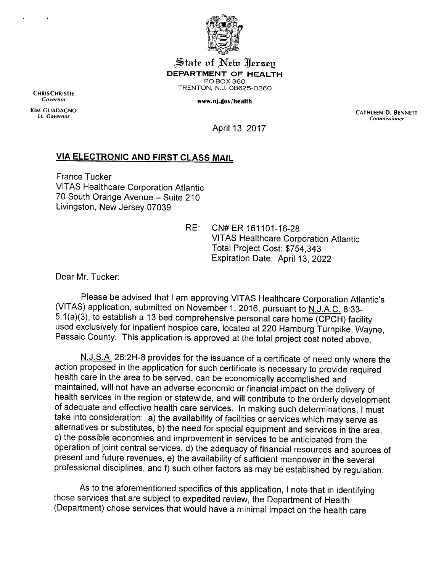

J^iaie **ai ^efa** ^Icrseg *DEPARTMENT OF HEALTH* POBOX360 TRENTON, N.J. 08625-0360

**Governor** *www.nj.gov/health*

CHRISCHRISTIE

KIM GUADAGNO CATHLEEN D. BENNETT (CATHLEEN D. BENNETT) (CATHLEEN D. BENNETT (CATHLEEN D. BENNETT (CATHLEEN D. BENNETT **Lt. Governor Commissioner**

April 13,2017

## *VIA ELECTRONIC AND FIRST CLASS MAIL*

France Tucker VITAS Healthcare Corporation Atlantic 70 South Orange Avenue - Suite 210 Livingston, New Jersey 07039

> RE: CN#ER 161101-16-28 VITAS Healthcare Corporation Atlantic Total Project Cost: \$754,343 Expiration Date: April 13, 2022

Dear Mr. Tucker:

Please be advised that I am approving VITAS Healthcare Corporation Atlantic's (VITAS) application, submitted on November 1, 2016, pursuant to  $\underline{\text{N.I.A.C.}}$  8:33-<br>5.1(a)(3), to establish a 13 bed comprehensive personal care home (CPCH) facility used exclusively for inpatient hospice care, located at 220 Hamburg Turnpike, Wayne, Passaic County. This application is approved at the total project cost noted above.

N.J.S.A. 26:2H-8 provides for the issuance of a certificate of need only where the action proposed in the application for such certificate is necessary to provide required health care in the area to be served, can be economically accomplished and maintained, will not have an adverse economic or financial impact on the delivery of health services in the region or statewide, and will contribute to the orderly development ofadequate and effective health care services. In making such determinations, Imust take into consideration: a) the availability of facilities or services which may serve as alternatives or substitutes, b) the need for special equipment and services in the area, c) the possible economies and improvement in services to be anticipated from the operation of joint central services, d) the adequacy of financial resources and sources of present and future revenues, e) the availability of sufficient manpower in the several professional disciplines, and f) such other factors as may be established by regulation.

As to the aforementioned specifics of this application, I note that in identifying those services that are subject to expedited review, the Department of Health (Department) chose services that would have a minimal impact on the health care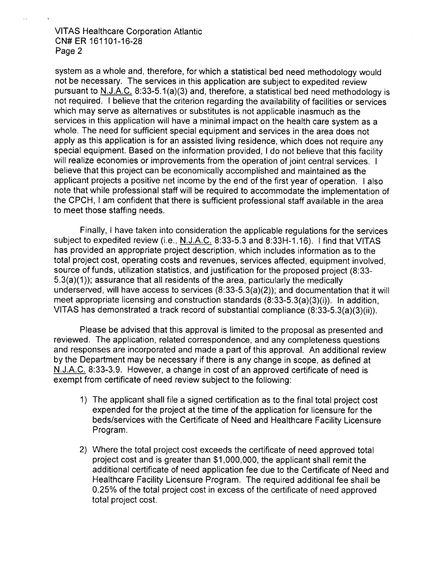VITAS Healthcare Corporation Atlantic CN#ER 161101-16-28 Page 2

system as a whole and, therefore, for which a statistical bed need methodology would not be necessary. The services in this application are subject to expedited review pursuant to N.J.A.C. 8:33-5.1(a)(3) and, therefore, a statistical bed need methodology is not required. I believe that the criterion regarding the availability of facilities or services which may serve as alternatives or substitutes is not applicable inasmuch as the services in this application will have a minimal impact on the health care system as a whole. The need for sufficient special equipment and services in the area does not apply as this application is for an assisted living residence, which does not require any special equipment. Based on the information provided, I do not believe that this facility will realize economies or improvements from the operation of joint central services. I believe that this project can be economically accomplished and maintained as the applicant projects a positive net income by the end of the first year of operation. I also note that while professional staff will be required to accommodate the implementation of the CPCH, I am confident that there is sufficient professional staff available in the area to meet those staffing needs.

Finally, I have taken into consideration the applicable regulations for the services subject to expedited review (i.e., N.J.A.C. 8:33-5.3 and 8:33H-1.16). I find that VITAS has provided an appropriate project description, which includes information as to the total project cost, operating costs and revenues, services affected, equipment involved, source of funds, utilization statistics, and justification for the proposed project (8:33- 5.3(a)(1)); assurance that all residents of the area, particularly the medically underserved, will have access to services (8:33-5.3(a)(2)); and documentation that it will meet appropriate licensing and construction standards (8:33-5.3(a)(3)(i)). In addition, VITAS has demonstrated a track record of substantial compliance (8:33-5.3(a)(3)(ii)).

Please be advised that this approval is limited to the proposal as presented and reviewed. The application, related correspondence, and any completeness questions and responses are incorporated and made a part of this approval. An additional review by the Department may be necessary if there is any change in scope, as defined at N.J.A.C. 8:33-3.9. However, a change in cost of an approved certificate of need is exempt from certificate of need review subject to the following:

- 1) The applicant shall file a signed certification as to the final total project cost expended for the project at the time of the application for licensure for the beds/services with the Certificate of Need and Healthcare Facility Licensure Program.
- 2) Where the total project cost exceeds the certificate of need approved total project cost and is greater than \$1,000,000, the applicant shall remit the additional certificate of need application fee due to the Certificate of Need and Healthcare Facility Licensure Program. The required additional fee shall be 0.25% of the total project cost in excess of the certificate of need approved total project cost.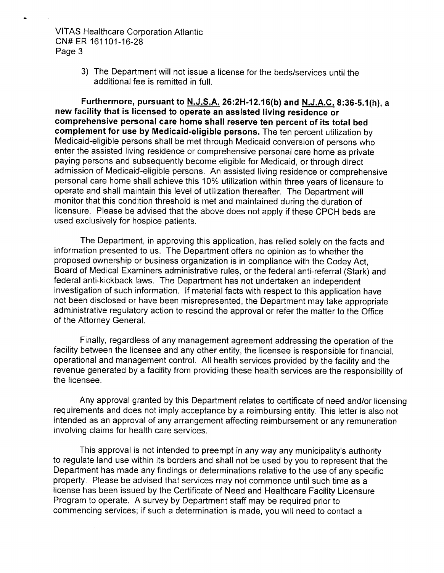## VITAS Healthcare Corporation Atlantic CN#ER 161101-16-28 Page 3

3) The Department will not issue a license for the beds/services until the additional fee is remitted in full.

*Furthermore, pursuant to N.J.S.A. 26:2H-12.16(b) and N.J.A.C. 8:36-5.1(h), a new facility that is licensed to operate an assisted living residence or comprehensive personal care home shall reserve ten percent of its total bed complement for use by Medicaid-eligible persons.* The ten percent utilization by Medicaid-eligible persons shall be met through Medicaid conversion of persons who enter the assisted living residence or comprehensive personal care home as private paying persons and subsequently become eligible for Medicaid, or through direct admission of Medicaid-eligible persons. An assisted living residence or comprehensive personal care home shall achieve this 10% utilization within three years of licensure to operate and shall maintain this level of utilization thereafter. The Department will monitor that this condition threshold is met and maintained during the duration of licensure. Please be advised that the above does not apply if these CPCH beds are used exclusively for hospice patients.

The Department, in approving this application, has relied solely on the facts and information presented to us. The Department offers no opinion as to whether the proposed ownership or business organization is in compliance with the Codey Act, Board of Medical Examiners administrative rules, or the federal anti-referral (Stark) and federal anti-kickback laws. The Department has not undertaken an independent investigation of such information. If material facts with respect to this application have not been disclosed or have been misrepresented, the Department may take appropriate administrative regulatory action to rescind the approval or refer the matter to the Office of the Attorney General.

Finally, regardless of any management agreement addressing the operation of the facility between the licensee and any other entity, the licensee is responsible for financial, operational and management control. All health services provided by the facility and the revenue generated by a facility from providing these health services are the responsibility of the licensee.

Any approval granted by this Department relates to certificate of need and/or licensing requirements and does not imply acceptance by a reimbursing entity. This letter is also not intended as an approval of any arrangement affecting reimbursement or any remuneration involving claims for health care services.

This approval is not intended to preempt in any way any municipality's authority to regulate land use within its borders and shall not be used by you to represent that the Department has made any findings or determinations relative to the use of any specific property. Please be advised that services may not commence until such time as a license has been issued by the Certificate of Need and Healthcare Facility Licensure Program to operate. A survey by Department staff may be required prior to commencing services; if such a determination is made, you will need to contact a